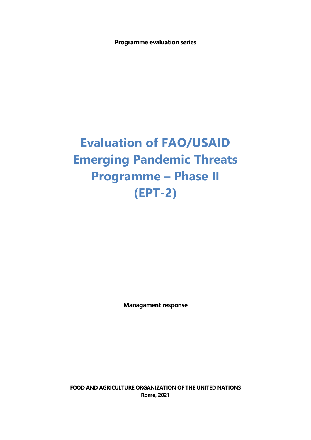**Programme evaluation series**

## **Evaluation of FAO/USAID Emerging Pandemic Threats Programme – Phase II (EPT-2)**

**Managament response**

**FOOD AND AGRICULTURE ORGANIZATION OF THE UNITED NATIONS Rome, 2021**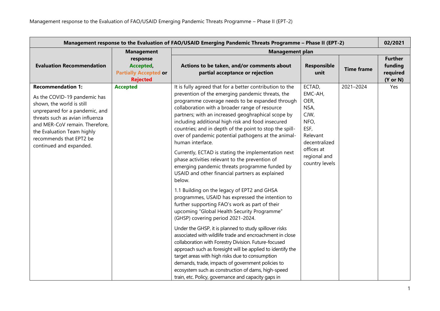| Management response to the Evaluation of FAO/USAID Emerging Pandemic Threats Programme - Phase II (EPT-2)<br>02/2021                                                                                                                                                             |                                                                          |                                                                                                                                                                                                                                                                                                                                                                                                                                                                                                                                                                                                                                                                                                                                                                                                                                                                                                                                                                                                                                                                                                                                                                                                                                                                                                                                                                                                     |                                                                                                                                        |                   |                                                              |
|----------------------------------------------------------------------------------------------------------------------------------------------------------------------------------------------------------------------------------------------------------------------------------|--------------------------------------------------------------------------|-----------------------------------------------------------------------------------------------------------------------------------------------------------------------------------------------------------------------------------------------------------------------------------------------------------------------------------------------------------------------------------------------------------------------------------------------------------------------------------------------------------------------------------------------------------------------------------------------------------------------------------------------------------------------------------------------------------------------------------------------------------------------------------------------------------------------------------------------------------------------------------------------------------------------------------------------------------------------------------------------------------------------------------------------------------------------------------------------------------------------------------------------------------------------------------------------------------------------------------------------------------------------------------------------------------------------------------------------------------------------------------------------------|----------------------------------------------------------------------------------------------------------------------------------------|-------------------|--------------------------------------------------------------|
|                                                                                                                                                                                                                                                                                  | <b>Management</b>                                                        | <b>Management plan</b>                                                                                                                                                                                                                                                                                                                                                                                                                                                                                                                                                                                                                                                                                                                                                                                                                                                                                                                                                                                                                                                                                                                                                                                                                                                                                                                                                                              |                                                                                                                                        |                   |                                                              |
| <b>Evaluation Recommendation</b>                                                                                                                                                                                                                                                 | response<br>Accepted,<br><b>Partially Accepted or</b><br><b>Rejected</b> | Actions to be taken, and/or comments about<br>partial acceptance or rejection                                                                                                                                                                                                                                                                                                                                                                                                                                                                                                                                                                                                                                                                                                                                                                                                                                                                                                                                                                                                                                                                                                                                                                                                                                                                                                                       | Responsible<br>unit                                                                                                                    | <b>Time frame</b> | <b>Further</b><br>funding<br>required<br>$(Y \text{ or } N)$ |
| <b>Recommendation 1:</b><br>As the COVID-19 pandemic has<br>shown, the world is still<br>unprepared for a pandemic, and<br>threats such as avian influenza<br>and MER-CoV remain. Therefore,<br>the Evaluation Team highly<br>recommends that EPT2 be<br>continued and expanded. | <b>Accepted</b>                                                          | It is fully agreed that for a better contribution to the<br>prevention of the emerging pandemic threats, the<br>programme coverage needs to be expanded through<br>collaboration with a broader range of resource<br>partners; with an increased geoghraphical scope by<br>including additional high risk and food insecured<br>countries; and in depth of the point to stop the spill-<br>over of pandemic potential pathogens at the animal-<br>human interface.<br>Currently, ECTAD is stating the implementation next<br>phase activities relevant to the prevention of<br>emerging pandemic threats programme funded by<br>USAID and other financial partners as explained<br>below.<br>1.1 Building on the legacy of EPT2 and GHSA<br>programmes, USAID has expressed the intention to<br>further supporting FAO's work as part of their<br>upcoming "Global Health Security Programme"<br>(GHSP) covering period 2021-2024.<br>Under the GHSP, it is planned to study spillover risks<br>associated with wildlife trade and encroachment in close<br>collaboration with Forestry Division. Future-focused<br>approach such as foresight will be applied to identify the<br>target areas with high risks due to consumption<br>demands, trade, impacts of government policies to<br>ecosystem such as construction of dams, high-speed<br>train, etc. Policy, governance and capacity gaps in | ECTAD,<br>EMC-AH,<br>OER,<br>NSA,<br>CJW,<br>NFO,<br>ESF,<br>Relevant<br>decentralized<br>offices at<br>regional and<br>country levels | 2021-2024         | Yes                                                          |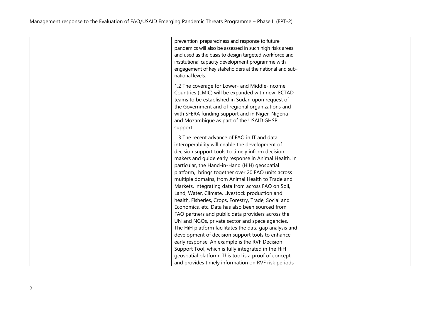| prevention, preparedness and response to future<br>pandemics will also be assessed in such high risks areas<br>and used as the basis to design targeted workforce and<br>institutional capacity development programme with<br>engagement of key stakeholders at the national and sub-<br>national levels.                                                                                                                                                                                                                                                                                                                                                                                                                                                                                                                                                                                                                 |  |
|---------------------------------------------------------------------------------------------------------------------------------------------------------------------------------------------------------------------------------------------------------------------------------------------------------------------------------------------------------------------------------------------------------------------------------------------------------------------------------------------------------------------------------------------------------------------------------------------------------------------------------------------------------------------------------------------------------------------------------------------------------------------------------------------------------------------------------------------------------------------------------------------------------------------------|--|
| 1.2 The coverage for Lower- and Middle-Income<br>Countries (LMIC) will be expanded with new ECTAD<br>teams to be established in Sudan upon request of<br>the Government and of regional organizations and<br>with SFERA funding support and in Niger, Nigeria<br>and Mozambique as part of the USAID GHSP<br>support.                                                                                                                                                                                                                                                                                                                                                                                                                                                                                                                                                                                                     |  |
| 1.3 The recent advance of FAO in IT and data<br>interoperability will enable the development of<br>decision support tools to timely inform decision<br>makers and guide early response in Animal Health. In<br>particular, the Hand-in-Hand (HiH) geospatial<br>platform, brings together over 20 FAO units across<br>multiple domains, from Animal Health to Trade and<br>Markets, integrating data from across FAO on Soil,<br>Land, Water, Climate, Livestock production and<br>health, Fisheries, Crops, Forestry, Trade, Social and<br>Economics, etc. Data has also been sourced from<br>FAO partners and public data providers across the<br>UN and NGOs, private sector and space agencies.<br>The HiH platform facilitates the data gap analysis and<br>development of decision support tools to enhance<br>early response. An example is the RVF Decision<br>Support Tool, which is fully integrated in the HiH |  |
| geospatial platform. This tool is a proof of concept<br>and provides timely information on RVF risk periods                                                                                                                                                                                                                                                                                                                                                                                                                                                                                                                                                                                                                                                                                                                                                                                                               |  |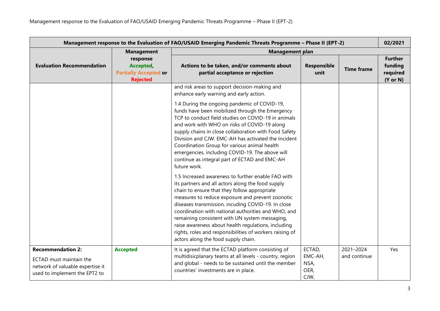| Management response to the Evaluation of FAO/USAID Emerging Pandemic Threats Programme - Phase II (EPT-2)                |                                                                          |                                                                                                                                                                                                                                                                                                                                                                                                                                                                                                                                      |                                           | 02/2021                   |                                                              |
|--------------------------------------------------------------------------------------------------------------------------|--------------------------------------------------------------------------|--------------------------------------------------------------------------------------------------------------------------------------------------------------------------------------------------------------------------------------------------------------------------------------------------------------------------------------------------------------------------------------------------------------------------------------------------------------------------------------------------------------------------------------|-------------------------------------------|---------------------------|--------------------------------------------------------------|
|                                                                                                                          | <b>Management</b>                                                        | <b>Management plan</b>                                                                                                                                                                                                                                                                                                                                                                                                                                                                                                               |                                           |                           |                                                              |
| <b>Evaluation Recommendation</b>                                                                                         | response<br>Accepted,<br><b>Partially Accepted or</b><br><b>Rejected</b> | Actions to be taken, and/or comments about<br>partial acceptance or rejection                                                                                                                                                                                                                                                                                                                                                                                                                                                        | <b>Responsible</b><br>unit                | <b>Time frame</b>         | <b>Further</b><br>funding<br>required<br>$(Y \text{ or } N)$ |
|                                                                                                                          |                                                                          | and risk areas to support decision-making and<br>enhance early warning and early action.                                                                                                                                                                                                                                                                                                                                                                                                                                             |                                           |                           |                                                              |
|                                                                                                                          |                                                                          | 1.4 During the ongoing pandemic of COVID-19,<br>funds have been mobilized through the Emergency<br>TCP to conduct field studies on COVID-19 in animals<br>and work with WHO on risks of COVID-19 along<br>supply chains in close collaboration with Food Safety<br>Division and CJW. EMC-AH has activated the Incident<br>Coordination Group for various animal health<br>emergencies, including COVID-19. The above will<br>continue as integral part of ECTAD and EMC-AH<br>future work.                                           |                                           |                           |                                                              |
|                                                                                                                          |                                                                          | 1.5 Increased awareness to further enable FAO with<br>its partners and all actors along the food supply<br>chain to ensure that they follow appropriate<br>measures to reduce exposure and prevent zoonotic<br>diseases transmission, incuding COVID-19. In close<br>coordination with national authorities and WHO, and<br>remaining consistent with UN system messaging,<br>raise awareness about health regulations, including<br>rights, roles and responsibilities of workers raising of<br>actors along the food supply chain. |                                           |                           |                                                              |
| <b>Recommendation 2:</b><br>ECTAD must maintain the<br>network of valuable expertise it<br>used to implement the EPT2 to | <b>Accepted</b>                                                          | It is agreed that the ECTAD platform consisting of<br>multidisicplanary teams at all levels - country, region<br>and global - needs to be sustained until the member<br>countries' investments are in place.                                                                                                                                                                                                                                                                                                                         | ECTAD,<br>EMC-AH,<br>NSA,<br>OER,<br>CJW, | 2021-2024<br>and continue | Yes                                                          |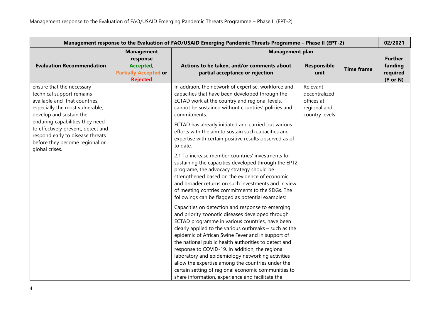| Management response to the Evaluation of FAO/USAID Emerging Pandemic Threats Programme - Phase II (EPT-2)                                                                                                                                                                                                              |                                                                          |                                                                                                                                                                                                                                                                                                                                                                                                                                                                                                                                                                                                                                                                                                                                                                                                                                                                                                                                                                                                                                                                                                                                                                                                                                                                                                                                                                                                           |                                                                           | 02/2021           |                                                              |
|------------------------------------------------------------------------------------------------------------------------------------------------------------------------------------------------------------------------------------------------------------------------------------------------------------------------|--------------------------------------------------------------------------|-----------------------------------------------------------------------------------------------------------------------------------------------------------------------------------------------------------------------------------------------------------------------------------------------------------------------------------------------------------------------------------------------------------------------------------------------------------------------------------------------------------------------------------------------------------------------------------------------------------------------------------------------------------------------------------------------------------------------------------------------------------------------------------------------------------------------------------------------------------------------------------------------------------------------------------------------------------------------------------------------------------------------------------------------------------------------------------------------------------------------------------------------------------------------------------------------------------------------------------------------------------------------------------------------------------------------------------------------------------------------------------------------------------|---------------------------------------------------------------------------|-------------------|--------------------------------------------------------------|
|                                                                                                                                                                                                                                                                                                                        | <b>Management</b>                                                        | <b>Management plan</b>                                                                                                                                                                                                                                                                                                                                                                                                                                                                                                                                                                                                                                                                                                                                                                                                                                                                                                                                                                                                                                                                                                                                                                                                                                                                                                                                                                                    |                                                                           |                   |                                                              |
| <b>Evaluation Recommendation</b>                                                                                                                                                                                                                                                                                       | response<br>Accepted,<br><b>Partially Accepted or</b><br><b>Rejected</b> | Actions to be taken, and/or comments about<br>partial acceptance or rejection                                                                                                                                                                                                                                                                                                                                                                                                                                                                                                                                                                                                                                                                                                                                                                                                                                                                                                                                                                                                                                                                                                                                                                                                                                                                                                                             | Responsible<br>unit                                                       | <b>Time frame</b> | <b>Further</b><br>funding<br>required<br>$(Y \text{ or } N)$ |
| ensure that the necessary<br>technical support remains<br>available and that countries,<br>especially the most vulnerable,<br>develop and sustain the<br>enduring capabilities they need<br>to effectively prevent, detect and<br>respond early to disease threats<br>before they become regional or<br>global crises. |                                                                          | In addition, the network of expertise, workforce and<br>capacities that have been developed through the<br>ECTAD work at the country and regional levels,<br>cannot be sustained without countries' policies and<br>commitments.<br>ECTAD has already initiated and carried out various<br>efforts with the aim to sustain such capacities and<br>expertise with certain positive results observed as of<br>to date.<br>2.1 To increase member countries' investments for<br>sustaining the capacities developed through the EPT2<br>programe, the advocacy strategy should be<br>strengthened based on the evidence of economic<br>and broader returns on such investments and in view<br>of meeting contries commitments to the SDGs. The<br>followings can be flagged as potential examples:<br>Capacities on detection and response to emerging<br>and priority zoonotic diseases developed through<br>ECTAD programme in various countries, have been<br>clearly applied to the various outbreaks - such as the<br>epidemic of African Swine Fever and in support of<br>the national public health authorities to detect and<br>response to COVID-19. In addition, the regional<br>laboratory and epidemiology networking activities<br>allow the expertise among the countries under the<br>certain setting of regional economic communities to<br>share information, experience and facilitate the | Relevant<br>decentralized<br>offices at<br>regional and<br>country levels |                   |                                                              |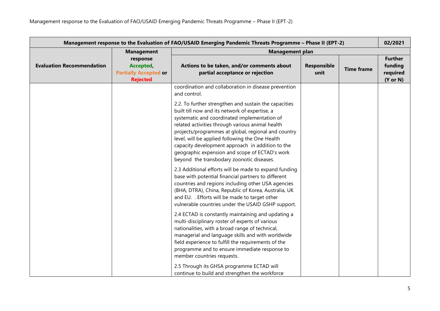| Management response to the Evaluation of FAO/USAID Emerging Pandemic Threats Programme - Phase II (EPT-2) |                                                                          |                                                                                                                                                                                                                                                                                                                                                                                                                                                                          |                     |                   | 02/2021                                                      |
|-----------------------------------------------------------------------------------------------------------|--------------------------------------------------------------------------|--------------------------------------------------------------------------------------------------------------------------------------------------------------------------------------------------------------------------------------------------------------------------------------------------------------------------------------------------------------------------------------------------------------------------------------------------------------------------|---------------------|-------------------|--------------------------------------------------------------|
|                                                                                                           | <b>Management</b>                                                        | <b>Management plan</b>                                                                                                                                                                                                                                                                                                                                                                                                                                                   |                     |                   |                                                              |
| <b>Evaluation Recommendation</b>                                                                          | response<br>Accepted,<br><b>Partially Accepted or</b><br><b>Rejected</b> | Actions to be taken, and/or comments about<br>partial acceptance or rejection                                                                                                                                                                                                                                                                                                                                                                                            | Responsible<br>unit | <b>Time frame</b> | <b>Further</b><br>funding<br>required<br>$(Y \text{ or } N)$ |
|                                                                                                           |                                                                          | coordination and collaboration in disease prevention<br>and control.                                                                                                                                                                                                                                                                                                                                                                                                     |                     |                   |                                                              |
|                                                                                                           |                                                                          | 2.2. To further strengthen and sustain the capacities<br>built till now and its network of expertise, a<br>systematic and coordinated implementation of<br>related activities through various animal health<br>projects/programmes at global, regional and country<br>level, will be applied following the One Health<br>capacity development approach in addition to the<br>geographic expension and scope of ECTAD's work<br>beyond the transbodary zoonotic diseases. |                     |                   |                                                              |
|                                                                                                           |                                                                          | 2.3 Additional efforts will be made to expand funding<br>base with potential financial partners to different<br>countries and regions including other USA agencies<br>(BHA, DTRA), China, Republic of Korea, Australia, UK<br>and EU. . Efforts will be made to target other<br>vulnerable countries under the USAID GSHP support.                                                                                                                                       |                     |                   |                                                              |
|                                                                                                           |                                                                          | 2.4 ECTAD is constantly maintaining and updating a<br>multi-disciplinary roster of experts of various<br>nationalities, with a broad range of technical,<br>managerial and language skills and with worldwide<br>field experience to fulfill the requirements of the<br>programme and to ensure immediate response to<br>member countries requests.<br>2.5 Through its GHSA programme ECTAD will<br>continue to build and strengthen the workforce                       |                     |                   |                                                              |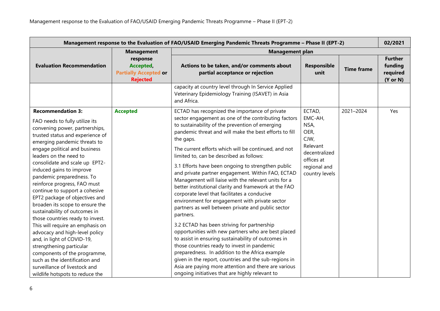| Management response to the Evaluation of FAO/USAID Emerging Pandemic Threats Programme - Phase II (EPT-2)                                                                                                                                                                                                                                                                                                                                                                                                                                                                                                                                                                                                                                                                                                |                                                                          |                                                                                                                                                                                                                                                                                                                                                                                                                                                                                                                                                                                                                                                                                                                                                                                                                                                                                                                                                                                                                                                                                                                                                                          |                                                                                                                        |                   | 02/2021                                                      |
|----------------------------------------------------------------------------------------------------------------------------------------------------------------------------------------------------------------------------------------------------------------------------------------------------------------------------------------------------------------------------------------------------------------------------------------------------------------------------------------------------------------------------------------------------------------------------------------------------------------------------------------------------------------------------------------------------------------------------------------------------------------------------------------------------------|--------------------------------------------------------------------------|--------------------------------------------------------------------------------------------------------------------------------------------------------------------------------------------------------------------------------------------------------------------------------------------------------------------------------------------------------------------------------------------------------------------------------------------------------------------------------------------------------------------------------------------------------------------------------------------------------------------------------------------------------------------------------------------------------------------------------------------------------------------------------------------------------------------------------------------------------------------------------------------------------------------------------------------------------------------------------------------------------------------------------------------------------------------------------------------------------------------------------------------------------------------------|------------------------------------------------------------------------------------------------------------------------|-------------------|--------------------------------------------------------------|
|                                                                                                                                                                                                                                                                                                                                                                                                                                                                                                                                                                                                                                                                                                                                                                                                          | <b>Management</b>                                                        | <b>Management plan</b>                                                                                                                                                                                                                                                                                                                                                                                                                                                                                                                                                                                                                                                                                                                                                                                                                                                                                                                                                                                                                                                                                                                                                   |                                                                                                                        |                   |                                                              |
| <b>Evaluation Recommendation</b>                                                                                                                                                                                                                                                                                                                                                                                                                                                                                                                                                                                                                                                                                                                                                                         | response<br>Accepted,<br><b>Partially Accepted or</b><br><b>Rejected</b> | Actions to be taken, and/or comments about<br>partial acceptance or rejection                                                                                                                                                                                                                                                                                                                                                                                                                                                                                                                                                                                                                                                                                                                                                                                                                                                                                                                                                                                                                                                                                            | Responsible<br>unit                                                                                                    | <b>Time frame</b> | <b>Further</b><br>funding<br>required<br>$(Y \text{ or } N)$ |
|                                                                                                                                                                                                                                                                                                                                                                                                                                                                                                                                                                                                                                                                                                                                                                                                          |                                                                          | capacity at country level through In Service Applied<br>Veterinary Epidemiology Training (ISAVET) in Asia<br>and Africa.                                                                                                                                                                                                                                                                                                                                                                                                                                                                                                                                                                                                                                                                                                                                                                                                                                                                                                                                                                                                                                                 |                                                                                                                        |                   |                                                              |
| <b>Recommendation 3:</b><br>FAO needs to fully utilize its<br>convening power, partnerships,<br>trusted status and experience of<br>emerging pandemic threats to<br>engage political and business<br>leaders on the need to<br>consolidate and scale up EPT2-<br>induced gains to improve<br>pandemic preparedness. To<br>reinforce progress, FAO must<br>continue to support a cohesive<br>EPT2 package of objectives and<br>broaden its scope to ensure the<br>sustainability of outcomes in<br>those countries ready to invest.<br>This will require an emphasis on<br>advocacy and high-level policy<br>and, in light of COVID-19,<br>strengthening particular<br>components of the programme,<br>such as the identification and<br>surveillance of livestock and<br>wildlife hotspots to reduce the | <b>Accepted</b>                                                          | ECTAD has recognized the importance of private<br>sector engagement as one of the contributing factors<br>to sustainability of the prevention of emerging<br>pandemic threat and will make the best efforts to fill<br>the gaps.<br>The current efforts which will be continued, and not<br>limited to, can be described as follows:<br>3.1 Efforts have been ongoing to strengthen public<br>and private partner engagement. Within FAO, ECTAD<br>Management will liaise with the relevant units for a<br>better institutional clarity and framework at the FAO<br>corporate level that facilitates a conducive<br>environment for engagement with private sector<br>partners as well between private and public sector<br>partners.<br>3.2 ECTAD has been striving for partnership<br>opportunities with new partners who are best placed<br>to assist in ensuring sustainability of outcomes in<br>those countries ready to invest in pandemic<br>preparedness. In addition to the Africa example<br>given in the report, countries and the sub-regions in<br>Asia are paying more attention and there are various<br>ongoing initiatives that are highly relevant to | ECTAD,<br>EMC-AH,<br>NSA,<br>OER,<br>CJW,<br>Relevant<br>decentralized<br>offices at<br>regional and<br>country levels | 2021-2024         | Yes                                                          |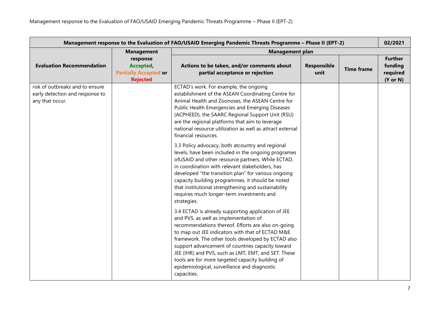| Management response to the Evaluation of FAO/USAID Emerging Pandemic Threats Programme - Phase II (EPT-2) |                                                                          |                                                                                                                                                                                                                                                                                                                                                                                                                                                                                                                                                                                                                                                                                                                                                                                                                                                                                                                                                                                                                                                                                                                                                                                                                                                                                                                                               |                     |                   | 02/2021                                                      |
|-----------------------------------------------------------------------------------------------------------|--------------------------------------------------------------------------|-----------------------------------------------------------------------------------------------------------------------------------------------------------------------------------------------------------------------------------------------------------------------------------------------------------------------------------------------------------------------------------------------------------------------------------------------------------------------------------------------------------------------------------------------------------------------------------------------------------------------------------------------------------------------------------------------------------------------------------------------------------------------------------------------------------------------------------------------------------------------------------------------------------------------------------------------------------------------------------------------------------------------------------------------------------------------------------------------------------------------------------------------------------------------------------------------------------------------------------------------------------------------------------------------------------------------------------------------|---------------------|-------------------|--------------------------------------------------------------|
|                                                                                                           | <b>Management</b>                                                        | <b>Management plan</b>                                                                                                                                                                                                                                                                                                                                                                                                                                                                                                                                                                                                                                                                                                                                                                                                                                                                                                                                                                                                                                                                                                                                                                                                                                                                                                                        |                     |                   |                                                              |
| <b>Evaluation Recommendation</b>                                                                          | response<br>Accepted,<br><b>Partially Accepted or</b><br><b>Rejected</b> | Actions to be taken, and/or comments about<br>partial acceptance or rejection                                                                                                                                                                                                                                                                                                                                                                                                                                                                                                                                                                                                                                                                                                                                                                                                                                                                                                                                                                                                                                                                                                                                                                                                                                                                 | Responsible<br>unit | <b>Time frame</b> | <b>Further</b><br>funding<br>required<br>$(Y \text{ or } N)$ |
| risk of outbreaks and to ensure<br>early detection and response to<br>any that occur.                     |                                                                          | ECTAD's work. For example, the ongoing<br>establishment of the ASEAN Coordinating Centre for<br>Animal Health and Zoonoses, the ASEAN Centre for<br>Public Health Emergencies and Emerging Diseases<br>(ACPHEED), the SAARC Regional Support Unit (RSU)<br>are the regional platforms that aim to leverage<br>national resource utilization as well as attract external<br>financial resources.<br>3.3 Policy advocacy, both atcountry and regional<br>levels, have been included in the ongoing programes<br>ofUSAID and other resource partners. While ECTAD,<br>in coordination with relevant stakeholders, has<br>developed "the transition plan" for various ongoing<br>capacity building programmes, it should be noted<br>that institutional strengthening and sustainability<br>requires much longer-term investments and<br>strategies.<br>3.4 ECTAD is already supporting application of JEE<br>and PVS, as well as implementation of<br>recommendations thereof. Efforts are also on-going<br>to map out JEE indicators with that of ECTAD M&E<br>framework. The other tools developed by ECTAD also<br>support advancement of countries capacity toward<br>JEE (IHR) and PVS, such as LMT, EMT, and SET. These<br>tools are for more targeted capacity building of<br>epidemiological, surveillance and diagnostic<br>capacities. |                     |                   |                                                              |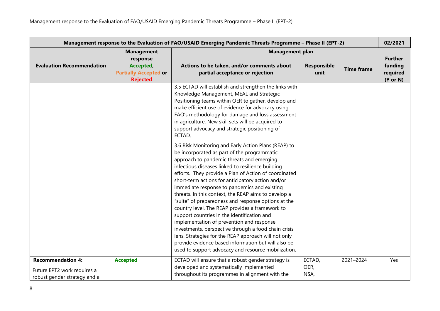| Management response to the Evaluation of FAO/USAID Emerging Pandemic Threats Programme - Phase II (EPT-2) |                                                                          |                                                                                                                                                                                                                                                                                                                                                                                                                                                                                                                                                                                                                                                                                                                                                                                                                                                                 |                            | 02/2021           |                                                              |
|-----------------------------------------------------------------------------------------------------------|--------------------------------------------------------------------------|-----------------------------------------------------------------------------------------------------------------------------------------------------------------------------------------------------------------------------------------------------------------------------------------------------------------------------------------------------------------------------------------------------------------------------------------------------------------------------------------------------------------------------------------------------------------------------------------------------------------------------------------------------------------------------------------------------------------------------------------------------------------------------------------------------------------------------------------------------------------|----------------------------|-------------------|--------------------------------------------------------------|
|                                                                                                           | <b>Management</b>                                                        | <b>Management plan</b>                                                                                                                                                                                                                                                                                                                                                                                                                                                                                                                                                                                                                                                                                                                                                                                                                                          |                            |                   |                                                              |
| <b>Evaluation Recommendation</b>                                                                          | response<br>Accepted,<br><b>Partially Accepted or</b><br><b>Rejected</b> | Actions to be taken, and/or comments about<br>partial acceptance or rejection                                                                                                                                                                                                                                                                                                                                                                                                                                                                                                                                                                                                                                                                                                                                                                                   | <b>Responsible</b><br>unit | <b>Time frame</b> | <b>Further</b><br>funding<br>required<br>$(Y \text{ or } N)$ |
|                                                                                                           |                                                                          | 3.5 ECTAD will establish and strengthen the links with<br>Knowledge Management, MEAL and Strategic<br>Positioning teams within OER to gather, develop and<br>make efficient use of evidence for advocacy using<br>FAO's methodology for damage and loss assessment<br>in agriculture. New skill sets will be acquired to<br>support advocacy and strategic positioning of<br>ECTAD.                                                                                                                                                                                                                                                                                                                                                                                                                                                                             |                            |                   |                                                              |
|                                                                                                           |                                                                          | 3.6 Risk Monitoring and Early Action Plans (REAP) to<br>be incorporated as part of the programmatic<br>approach to pandemic threats and emerging<br>infectious diseases linked to resilience building<br>efforts. They provide a Plan of Action of coordinated<br>short-term actions for anticipatory action and/or<br>immediate response to pandemics and existing<br>threats. In this context, the REAP aims to develop a<br>"suite" of preparedness and response options at the<br>country level. The REAP provides a framework to<br>support countries in the identification and<br>implementation of prevention and response<br>investments, perspective through a food chain crisis<br>lens. Strategies for the REAP approach will not only<br>provide evidence based information but will also be<br>used to support advocacy and resource mobilization. |                            |                   |                                                              |
| <b>Recommendation 4:</b><br>Future EPT2 work requires a<br>robust gender strategy and a                   | <b>Accepted</b>                                                          | ECTAD will ensure that a robust gender strategy is<br>developed and systematically implemented<br>throughout its programmes in alignment with the                                                                                                                                                                                                                                                                                                                                                                                                                                                                                                                                                                                                                                                                                                               | ECTAD,<br>OER,<br>NSA,     | 2021-2024         | Yes                                                          |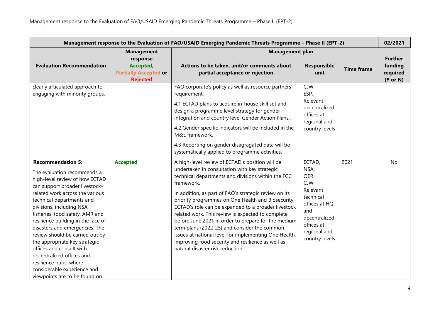| Management response to the Evaluation of FAO/USAID Emerging Pandemic Threats Programme - Phase II (EPT-2)                                                                                                                                                                                                                                                                                                                                                                                                                                                  |                                                                                               |                                                                                                                                                                                                                                                                                                                                                                                                                                                                                                                                                                                                                                                          |                                                                                                                                                              |                   |                                                              |
|------------------------------------------------------------------------------------------------------------------------------------------------------------------------------------------------------------------------------------------------------------------------------------------------------------------------------------------------------------------------------------------------------------------------------------------------------------------------------------------------------------------------------------------------------------|-----------------------------------------------------------------------------------------------|----------------------------------------------------------------------------------------------------------------------------------------------------------------------------------------------------------------------------------------------------------------------------------------------------------------------------------------------------------------------------------------------------------------------------------------------------------------------------------------------------------------------------------------------------------------------------------------------------------------------------------------------------------|--------------------------------------------------------------------------------------------------------------------------------------------------------------|-------------------|--------------------------------------------------------------|
|                                                                                                                                                                                                                                                                                                                                                                                                                                                                                                                                                            |                                                                                               |                                                                                                                                                                                                                                                                                                                                                                                                                                                                                                                                                                                                                                                          |                                                                                                                                                              |                   | 02/2021                                                      |
| <b>Evaluation Recommendation</b>                                                                                                                                                                                                                                                                                                                                                                                                                                                                                                                           | <b>Management</b><br>response<br>Accepted,<br><b>Partially Accepted or</b><br><b>Rejected</b> | <b>Management plan</b><br>Actions to be taken, and/or comments about<br>partial acceptance or rejection                                                                                                                                                                                                                                                                                                                                                                                                                                                                                                                                                  | Responsible<br>unit                                                                                                                                          | <b>Time frame</b> | <b>Further</b><br>funding<br>required<br>$(Y \text{ or } N)$ |
| clearly articulated approach to<br>engaging with minority groups.                                                                                                                                                                                                                                                                                                                                                                                                                                                                                          |                                                                                               | FAO corporate's policy as well as resource partners'<br>requirement.<br>4.1 ECTAD plans to acquire in-house skill set and<br>design a programme level strategy for gender<br>integration and country level Gender Action Plans.<br>4.2 Gender specific indicators will be included in the<br>M&E framework.<br>4.3 Reporting on gender disagragated data will be<br>systematically applied to programme activities.                                                                                                                                                                                                                                      | CJW,<br>ESP,<br>Relevant<br>decentralized<br>offices at<br>regional and<br>country levels                                                                    |                   |                                                              |
| <b>Recommendation 5:</b><br>The evaluation recommends a<br>high-level review of how ECTAD<br>can support broader livestock-<br>related work across the various<br>technical departments and<br>divisions, including NSA,<br>fisheries, food safety, AMR and<br>resilience building in the face of<br>disasters and emergencies. The<br>review should be carried out by<br>the appropriate key strategic<br>offices and consult with<br>decentralized offices and<br>resilience hubs, where<br>considerable experience and<br>viewpoints are to be found on | <b>Accepted</b>                                                                               | A high-level review of ECTAD's position will be<br>undertaken in consultation with key strategic<br>technical departments and divisions within the FCC<br>framework.<br>In addition, as part of FAO's strategic review on its<br>priority programmes on One Health and Biosecurity,<br>ECTAD's role can be expanded to a broader livestock<br>related work. This review is expected to complete<br>before June 2021 in order to prepare for the medium<br>term plans (2022-25) and consider the common<br>issues at national level for implementing One Health,<br>improving food security and resilience as well as<br>natural disaster risk reduction. | ECTAD,<br>NSA,<br><b>OER</b><br><b>CJW</b><br>Relevant<br>technical<br>offices at HQ<br>and<br>decentralized<br>offices at<br>regional and<br>country levels | 2021              | <b>No</b>                                                    |